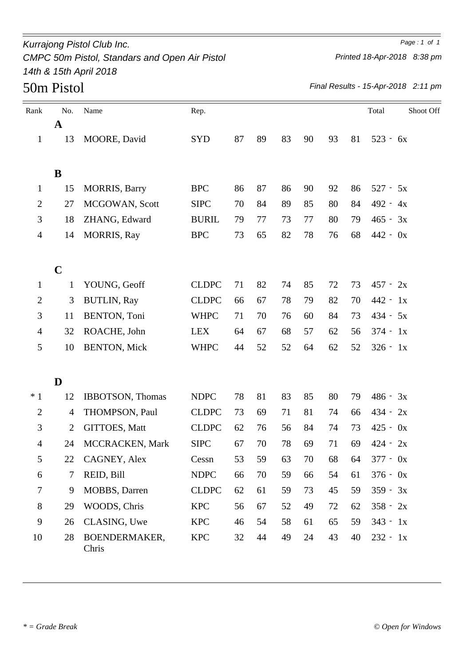### *Kurrajong Pistol Club Inc. Page : 1 of 1 CMPC 50m Pistol, Standars and Open Air Pistol 14th & 15th April 2018*

*Printed 18-Apr-2018 8:38 pm*

*Final Results - 15-Apr-2018 2:11 pm*

| Rank           | No.            | Name                   | Rep.         |    |    |    |    |    |    | Total      | Shoot Off |
|----------------|----------------|------------------------|--------------|----|----|----|----|----|----|------------|-----------|
|                | $\mathbf A$    |                        |              |    |    |    |    |    |    |            |           |
| $\mathbf{1}$   | 13             | MOORE, David           | <b>SYD</b>   | 87 | 89 | 83 | 90 | 93 | 81 | $523 - 6x$ |           |
|                | B              |                        |              |    |    |    |    |    |    |            |           |
| $\mathbf{1}$   | 15             | <b>MORRIS</b> , Barry  | <b>BPC</b>   | 86 | 87 | 86 | 90 | 92 | 86 | $527 - 5x$ |           |
| $\overline{2}$ | 27             | MCGOWAN, Scott         | <b>SIPC</b>  | 70 | 84 | 89 | 85 | 80 | 84 | $492 - 4x$ |           |
| 3              | 18             | ZHANG, Edward          | <b>BURIL</b> | 79 | 77 | 73 | 77 | 80 | 79 | $465 - 3x$ |           |
| $\overline{4}$ | 14             | <b>MORRIS, Ray</b>     | <b>BPC</b>   | 73 | 65 | 82 | 78 | 76 | 68 | $442 - 0x$ |           |
|                | $\mathbf C$    |                        |              |    |    |    |    |    |    |            |           |
| $\mathbf{1}$   | 1              | YOUNG, Geoff           | <b>CLDPC</b> | 71 | 82 | 74 | 85 | 72 | 73 | $457 - 2x$ |           |
| 2              | 3              | <b>BUTLIN, Ray</b>     | <b>CLDPC</b> | 66 | 67 | 78 | 79 | 82 | 70 | $442 - 1x$ |           |
| 3              | 11             | <b>BENTON, Toni</b>    | <b>WHPC</b>  | 71 | 70 | 76 | 60 | 84 | 73 | $434 - 5x$ |           |
| $\overline{4}$ | 32             | ROACHE, John           | <b>LEX</b>   | 64 | 67 | 68 | 57 | 62 | 56 | $374 - 1x$ |           |
| 5              | 10             | <b>BENTON, Mick</b>    | <b>WHPC</b>  | 44 | 52 | 52 | 64 | 62 | 52 | $326 - 1x$ |           |
|                | D              |                        |              |    |    |    |    |    |    |            |           |
| $*1$           | 12             | IBBOTSON, Thomas       | <b>NDPC</b>  | 78 | 81 | 83 | 85 | 80 | 79 | $486 - 3x$ |           |
| $\overline{2}$ | $\overline{4}$ | THOMPSON, Paul         | <b>CLDPC</b> | 73 | 69 | 71 | 81 | 74 | 66 | $434 - 2x$ |           |
| 3              | $\overline{2}$ | GITTOES, Matt          | <b>CLDPC</b> | 62 | 76 | 56 | 84 | 74 | 73 | $425 - 0x$ |           |
| $\overline{4}$ | 24             | MCCRACKEN, Mark        | <b>SIPC</b>  | 67 | 70 | 78 | 69 | 71 | 69 | $424 - 2x$ |           |
| 5              | 22             | CAGNEY, Alex           | Cessn        | 53 | 59 | 63 | 70 | 68 | 64 | $377 - 0x$ |           |
| 6              | $\tau$         | REID, Bill             | <b>NDPC</b>  | 66 | 70 | 59 | 66 | 54 | 61 | $376 - 0x$ |           |
| 7              | 9              | <b>MOBBS</b> , Darren  | <b>CLDPC</b> | 62 | 61 | 59 | 73 | 45 | 59 | $359 - 3x$ |           |
| 8              | 29             | WOODS, Chris           | <b>KPC</b>   | 56 | 67 | 52 | 49 | 72 | 62 | $358 - 2x$ |           |
| 9              | 26             | CLASING, Uwe           | <b>KPC</b>   | 46 | 54 | 58 | 61 | 65 | 59 | $343 - 1x$ |           |
| 10             | 28             | BOENDERMAKER,<br>Chris | <b>KPC</b>   | 32 | 44 | 49 | 24 | 43 | 40 | $232 - 1x$ |           |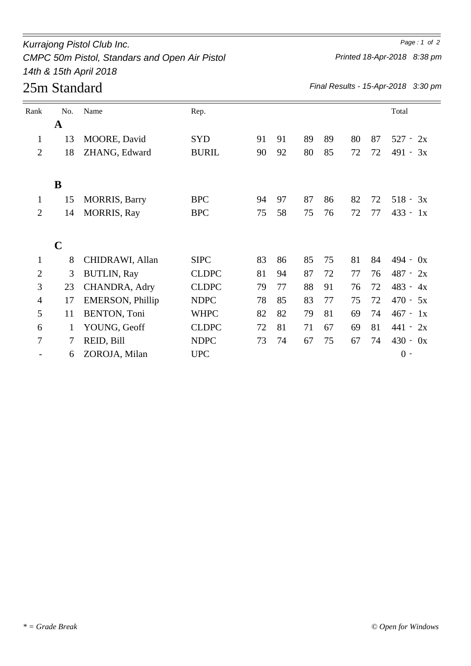## *Kurrajong Pistol Club Inc. Page : 1 of 2 CMPC 50m Pistol, Standars and Open Air Pistol 14th & 15th April 2018*

# 25m Standard

*Final Results - 15-Apr-2018 3:30 pm*

| Rank           | No.         | Name                    | Rep.         |    |    |    |    |    |    | Total         |
|----------------|-------------|-------------------------|--------------|----|----|----|----|----|----|---------------|
|                | $\mathbf A$ |                         |              |    |    |    |    |    |    |               |
| $\mathbf{1}$   | 13          | MOORE, David            | <b>SYD</b>   | 91 | 91 | 89 | 89 | 80 | 87 | $527 -$<br>2x |
| $\overline{2}$ | 18          | ZHANG, Edward           | <b>BURIL</b> | 90 | 92 | 80 | 85 | 72 | 72 | 491 -<br>3x   |
|                |             |                         |              |    |    |    |    |    |    |               |
|                | B           |                         |              |    |    |    |    |    |    |               |
| $\mathbf{1}$   | 15          | <b>MORRIS</b> , Barry   | <b>BPC</b>   | 94 | 97 | 87 | 86 | 82 | 72 | $518 -$<br>3x |
| $\overline{2}$ | 14          | <b>MORRIS, Ray</b>      | <b>BPC</b>   | 75 | 58 | 75 | 76 | 72 | 77 | $433 -$<br>1x |
|                |             |                         |              |    |    |    |    |    |    |               |
|                | $\mathbf C$ |                         |              |    |    |    |    |    |    |               |
| $\mathbf{1}$   | 8           | CHIDRAWI, Allan         | <b>SIPC</b>  | 83 | 86 | 85 | 75 | 81 | 84 | $494 - 0x$    |
| $\overline{2}$ | 3           | <b>BUTLIN, Ray</b>      | <b>CLDPC</b> | 81 | 94 | 87 | 72 | 77 | 76 | $487 - 2x$    |
| 3              | 23          | CHANDRA, Adry           | <b>CLDPC</b> | 79 | 77 | 88 | 91 | 76 | 72 | $483 -$<br>4x |
| 4              | 17          | <b>EMERSON, Phillip</b> | <b>NDPC</b>  | 78 | 85 | 83 | 77 | 75 | 72 | $470 -$<br>5x |
| 5              | 11          | <b>BENTON, Toni</b>     | <b>WHPC</b>  | 82 | 82 | 79 | 81 | 69 | 74 | $467 - 1x$    |
| 6              | 1           | YOUNG, Geoff            | <b>CLDPC</b> | 72 | 81 | 71 | 67 | 69 | 81 | $441 - 2x$    |
| 7              | 7           | REID, Bill              | <b>NDPC</b>  | 73 | 74 | 67 | 75 | 67 | 74 | $430 - 0x$    |
|                | 6           | ZOROJA, Milan           | <b>UPC</b>   |    |    |    |    |    |    | $0 -$         |

*Printed 18-Apr-2018 8:38 pm*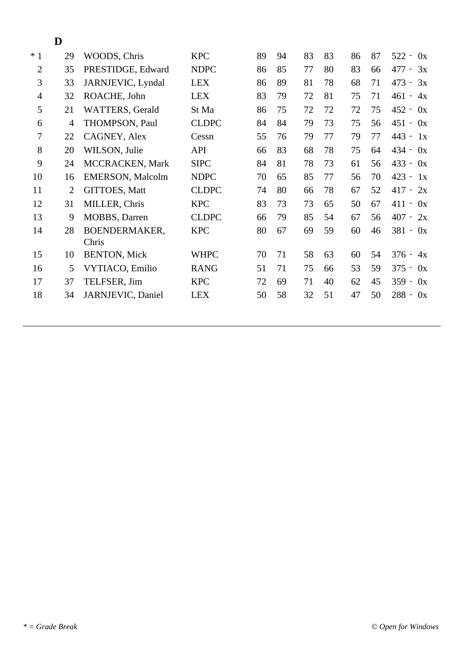### **D**

| $*1$           | 29             | WOODS, Chris            | <b>KPC</b>   | 89 | 94 | 83 | 83 | 86 | 87 | $522 -$<br>0x                         |
|----------------|----------------|-------------------------|--------------|----|----|----|----|----|----|---------------------------------------|
| $\overline{2}$ | 35             | PRESTIDGE, Edward       | <b>NDPC</b>  | 86 | 85 | 77 | 80 | 83 | 66 | 477 -<br>3x                           |
| 3              | 33             | JARNJEVIC, Lyndal       | <b>LEX</b>   | 86 | 89 | 81 | 78 | 68 | 71 | $473 - 3x$                            |
| $\overline{4}$ | 32             | ROACHE, John            | <b>LEX</b>   | 83 | 79 | 72 | 81 | 75 | 71 | $461 -$<br>4x                         |
| 5              | 21             | WATTERS, Gerald         | St Ma        | 86 | 75 | 72 | 72 | 72 | 75 | $452 -$<br>0x                         |
| 6              | $\overline{4}$ | THOMPSON, Paul          | <b>CLDPC</b> | 84 | 84 | 79 | 73 | 75 | 56 | $451 -$<br>0x                         |
| 7              | 22             | CAGNEY, Alex            | Cessn        | 55 | 76 | 79 | 77 | 79 | 77 | $443 -$<br>1x                         |
| 8              | 20             | WILSON, Julie           | <b>API</b>   | 66 | 83 | 68 | 78 | 75 | 64 | $434 -$<br>0x                         |
| 9              | 24             | MCCRACKEN, Mark         | <b>SIPC</b>  | 84 | 81 | 78 | 73 | 61 | 56 | $433 -$<br>0x                         |
| 10             | 16             | <b>EMERSON, Malcolm</b> | <b>NDPC</b>  | 70 | 65 | 85 | 77 | 56 | 70 | $423 -$<br>1x                         |
| 11             | $\overline{2}$ | <b>GITTOES, Matt</b>    | <b>CLDPC</b> | 74 | 80 | 66 | 78 | 67 | 52 | $417 -$<br>2x                         |
| 12             | 31             | MILLER, Chris           | <b>KPC</b>   | 83 | 73 | 73 | 65 | 50 | 67 | 411<br>0x<br>$\overline{\phantom{a}}$ |
| 13             | 9              | MOBBS, Darren           | <b>CLDPC</b> | 66 | 79 | 85 | 54 | 67 | 56 | $407 -$<br>2x                         |
| 14             | 28             | BOENDERMAKER,           | <b>KPC</b>   | 80 | 67 | 69 | 59 | 60 | 46 | $381 -$<br>0x                         |
|                |                | Chris                   |              |    |    |    |    |    |    |                                       |
| 15             | 10             | <b>BENTON, Mick</b>     | <b>WHPC</b>  | 70 | 71 | 58 | 63 | 60 | 54 | $376 -$<br>4x                         |
| 16             | 5              | VYTIACO, Emilio         | <b>RANG</b>  | 51 | 71 | 75 | 66 | 53 | 59 | $375 -$<br>0x                         |
| 17             | 37             | TELFSER, Jim            | <b>KPC</b>   | 72 | 69 | 71 | 40 | 62 | 45 | $359 -$<br>0x                         |
| 18             | 34             | JARNJEVIC, Daniel       | <b>LEX</b>   | 50 | 58 | 32 | 51 | 47 | 50 | $288 -$<br>0x                         |
|                |                |                         |              |    |    |    |    |    |    |                                       |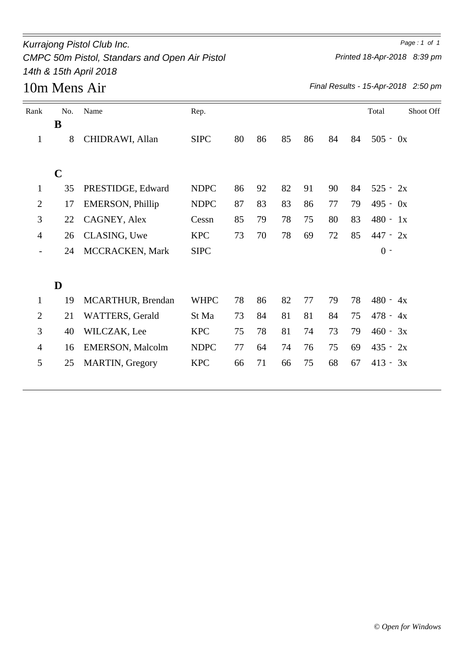### *Kurrajong Pistol Club Inc. Page : 1 of 1 CMPC 50m Pistol, Standars and Open Air Pistol 14th & 15th April 2018*

*Printed 18-Apr-2018 8:39 pm*

*Final Results - 15-Apr-2018 2:50 pm*

| Rank           | No.         | Name                     | Rep.        |    |    |    |    |    |    | Total      | Shoot Off |
|----------------|-------------|--------------------------|-------------|----|----|----|----|----|----|------------|-----------|
|                | B           |                          |             |    |    |    |    |    |    |            |           |
| $\mathbf{1}$   | 8           | CHIDRAWI, Allan          | <b>SIPC</b> | 80 | 86 | 85 | 86 | 84 | 84 | $505 - 0x$ |           |
|                | $\mathbf C$ |                          |             |    |    |    |    |    |    |            |           |
| $\mathbf{1}$   | 35          | PRESTIDGE, Edward        | <b>NDPC</b> | 86 | 92 | 82 | 91 | 90 | 84 | $525 - 2x$ |           |
|                |             |                          |             |    |    |    |    |    |    |            |           |
| $\overline{2}$ | 17          | <b>EMERSON</b> , Phillip | <b>NDPC</b> | 87 | 83 | 83 | 86 | 77 | 79 | $495 - 0x$ |           |
| 3              | 22          | CAGNEY, Alex             | Cessn       | 85 | 79 | 78 | 75 | 80 | 83 | $480 - 1x$ |           |
| $\overline{4}$ | 26          | CLASING, Uwe             | <b>KPC</b>  | 73 | 70 | 78 | 69 | 72 | 85 | $447 - 2x$ |           |
|                | 24          | MCCRACKEN, Mark          | <b>SIPC</b> |    |    |    |    |    |    | $0 -$      |           |
|                | D           |                          |             |    |    |    |    |    |    |            |           |
|                |             |                          |             |    |    |    |    |    |    |            |           |
| $\mathbf{1}$   | 19          | MCARTHUR, Brendan        | <b>WHPC</b> | 78 | 86 | 82 | 77 | 79 | 78 | $480 - 4x$ |           |
| $\overline{2}$ | 21          | <b>WATTERS</b> , Gerald  | St Ma       | 73 | 84 | 81 | 81 | 84 | 75 | $478 - 4x$ |           |
| 3              | 40          | WILCZAK, Lee             | <b>KPC</b>  | 75 | 78 | 81 | 74 | 73 | 79 | $460 - 3x$ |           |
| $\overline{4}$ | 16          | <b>EMERSON</b> , Malcolm | <b>NDPC</b> | 77 | 64 | 74 | 76 | 75 | 69 | $435 - 2x$ |           |
| 5              | 25          | <b>MARTIN, Gregory</b>   | <b>KPC</b>  | 66 | 71 | 66 | 75 | 68 | 67 | $413 - 3x$ |           |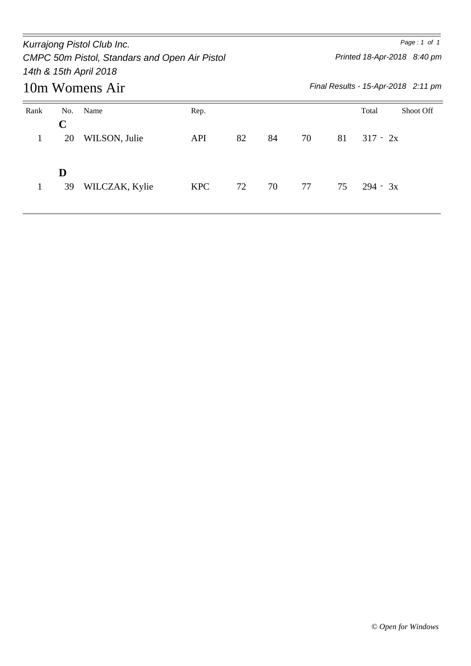|                |          | Kurrajong Pistol Club Inc.<br>CMPC 50m Pistol, Standars and Open Air Pistol<br>14th & 15th April 2018 |            |    |    | Page: 1 of 1<br>Printed 18-Apr-2018 8:40 pm |                                     |            |                  |  |  |  |  |
|----------------|----------|-------------------------------------------------------------------------------------------------------|------------|----|----|---------------------------------------------|-------------------------------------|------------|------------------|--|--|--|--|
| 10m Womens Air |          |                                                                                                       |            |    |    |                                             | Final Results - 15-Apr-2018 2:11 pm |            |                  |  |  |  |  |
| Rank           | No.<br>C | Name                                                                                                  | Rep.       |    |    |                                             |                                     | Total      | <b>Shoot Off</b> |  |  |  |  |
|                | 20       | WILSON, Julie                                                                                         | <b>API</b> | 82 | 84 | 70                                          | 81                                  | $317 - 2x$ |                  |  |  |  |  |
|                | D<br>39  | WILCZAK, Kylie                                                                                        | <b>KPC</b> | 72 | 70 | 77                                          | 75                                  | $294 - 3x$ |                  |  |  |  |  |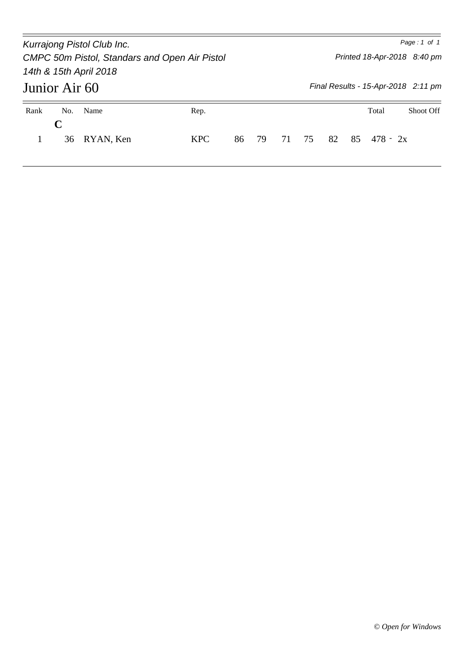Junior Air 60 *Kurrajong Pistol Club Inc. Page : 1 of 1 CMPC 50m Pistol, Standars and Open Air Pistol 14th & 15th April 2018 Printed 18-Apr-2018 8:40 pm Final Results - 15-Apr-2018 2:11 pm* Rank No. Name Rep. Rep. Rep. 2008 Rep. 2014 Rep. 2014 Rep. 2014 Rep. 2014 Rep. 2014 Rep. 2014 Rep. 2016 **C** 1 36 RYAN, Ken KPC 86 79 71 75 82 85 478 - 2x